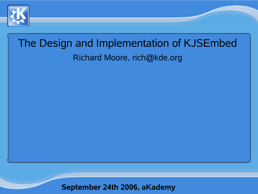

# The Design and Implementation of KJSEmbed Richard Moore, rich@kde.org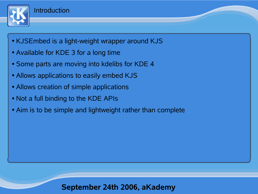

- KJSEmbed is a light-weight wrapper around KJS
- Available for KDE 3 for a long time
- Some parts are moving into kdelibs for KDE 4
- Allows applications to easily embed KJS
- Allows creation of simple applications
- Not a full binding to the KDE APIs
- Aim is to be simple and lightweight rather than complete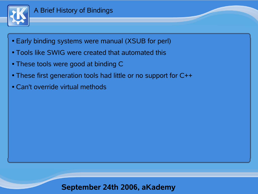

- Early binding systems were manual (XSUB for perl)
- Tools like SWIG were created that automated this
- These tools were good at binding C
- These first generation tools had little or no support for C++
- Can't override virtual methods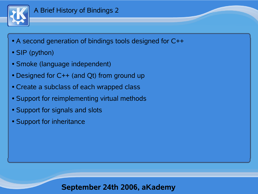

- A second generation of bindings tools designed for C++
- SIP (python)
- Smoke (language independent)
- Designed for  $C++$  (and Qt) from ground up
- Create a subclass of each wrapped class
- Support for reimplementing virtual methods
- Support for signals and slots
- Support for inheritance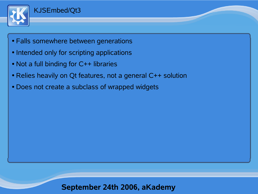

- Falls somewhere between generations
- Intended only for scripting applications
- Not a full binding for C++ libraries
- Relies heavily on Qt features, not a general C++ solution
- Does not create a subclass of wrapped widgets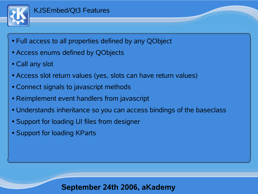

#### KJSEmbed/Qt3 Features

- Full access to all properties defined by any QObject
- Access enums defined by QObjects
- Call any slot
- Access slot return values (yes, slots can have return values)
- Connect signals to javascript methods
- Reimplement event handlers from javascript
- Understands inheritance so you can access bindings of the baseclass
- Support for loading UI files from designer
- Support for loading KParts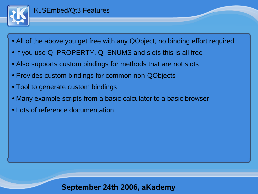

#### KJSEmbed/Qt3 Features

- All of the above you get free with any QObject, no binding effort required
- If you use Q PROPERTY, Q ENUMS and slots this is all free
- Also supports custom bindings for methods that are not slots
- Provides custom bindings for common non-QObjects
- Tool to generate custom bindings
- Many example scripts from a basic calculator to a basic browser
- Lots of reference documentation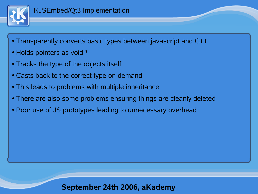

- Transparently converts basic types between javascript and C++
- Holds pointers as void \*
- Tracks the type of the objects itself
- Casts back to the correct type on demand
- This leads to problems with multiple inheritance
- There are also some problems ensuring things are cleanly deleted
- Poor use of JS prototypes leading to unnecessary overhead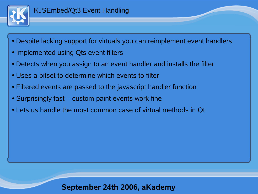

- Despite lacking support for virtuals you can reimplement event handlers
- Implemented using Qts event filters
- Detects when you assign to an event handler and installs the filter
- Uses a bitset to determine which events to filter
- Filtered events are passed to the javascript handler function
- Surprisingly fast custom paint events work fine
- Lets us handle the most common case of virtual methods in Qt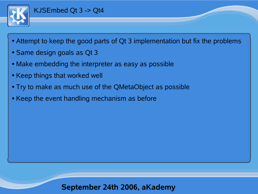

#### KJSEmbed Qt 3 -> Qt4

- Attempt to keep the good parts of Qt 3 implementation but fix the problems
- Same design goals as Qt 3
- Make embedding the interpreter as easy as possible
- Keep things that worked well
- Try to make as much use of the QMetaObject as possible
- Keep the event handling mechanism as before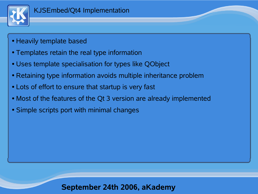

- Heavily template based
- Templates retain the real type information
- Uses template specialisation for types like QObject
- Retaining type information avoids multiple inheritance problem
- Lots of effort to ensure that startup is very fast
- Most of the features of the Qt 3 version are already implemented
- Simple scripts port with minimal changes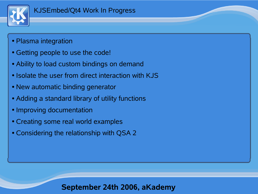

- Plasma integration
- Getting people to use the code!
- Ability to load custom bindings on demand
- Isolate the user from direct interaction with KJS
- New automatic binding generator
- Adding a standard library of utility functions
- Improving documentation
- Creating some real world examples
- Considering the relationship with QSA 2